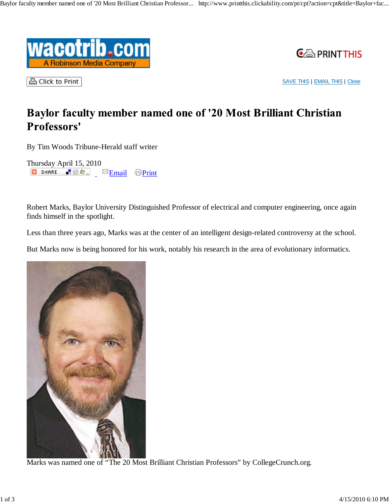



凸 Click to Print

SAVE THIS | EMAIL THIS | Close

# Baylor faculty member named one of '20 Most Brilliant Christian Professors'

By Tim Woods Tribune-Herald staff writer

Thursday April 15, 2010 **C** SHARE  $\triangleq 2$   $\therefore$   $\triangleq$  Email  $\triangleq$  Print

Robert Marks, Baylor University Distinguished Professor of electrical and computer engineering, once again finds himself in the spotlight.

Less than three years ago, Marks was at the center of an intelligent design-related controversy at the school.

But Marks now is being honored for his work, notably his research in the area of evolutionary informatics.

Marks was named one of "The 20 Most Brilliant Christian Professors" by CollegeCrunch.org.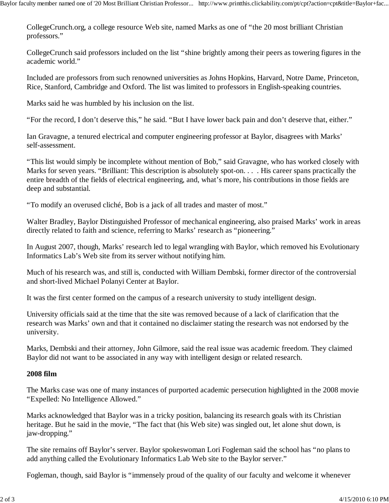CollegeCrunch.org, a college resource Web site, named Marks as one of "the 20 most brilliant Christian professors."

CollegeCrunch said professors included on the list "shine brightly among their peers as towering figures in the academic world."

Included are professors from such renowned universities as Johns Hopkins, Harvard, Notre Dame, Princeton, Rice, Stanford, Cambridge and Oxford. The list was limited to professors in English-speaking countries.

Marks said he was humbled by his inclusion on the list.

"For the record, I don't deserve this," he said. "But I have lower back pain and don't deserve that, either."

Ian Gravagne, a tenured electrical and computer engineering professor at Baylor, disagrees with Marks' self-assessment.

"This list would simply be incomplete without mention of Bob," said Gravagne, who has worked closely with Marks for seven years. "Brilliant: This description is absolutely spot-on. . . . His career spans practically the entire breadth of the fields of electrical engineering, and, what's more, his contributions in those fields are deep and substantial.

"To modify an overused cliché, Bob is a jack of all trades and master of most."

Walter Bradley, Baylor Distinguished Professor of mechanical engineering, also praised Marks' work in areas directly related to faith and science, referring to Marks' research as "pioneering."

In August 2007, though, Marks' research led to legal wrangling with Baylor, which removed his Evolutionary Informatics Lab's Web site from its server without notifying him.

Much of his research was, and still is, conducted with William Dembski, former director of the controversial and short-lived Michael Polanyi Center at Baylor.

It was the first center formed on the campus of a research university to study intelligent design.

University officials said at the time that the site was removed because of a lack of clarification that the research was Marks' own and that it contained no disclaimer stating the research was not endorsed by the university.

Marks, Dembski and their attorney, John Gilmore, said the real issue was academic freedom. They claimed Baylor did not want to be associated in any way with intelligent design or related research.

# **2008 film**

The Marks case was one of many instances of purported academic persecution highlighted in the 2008 movie "Expelled: No Intelligence Allowed."

Marks acknowledged that Baylor was in a tricky position, balancing its research goals with its Christian heritage. But he said in the movie, "The fact that (his Web site) was singled out, let alone shut down, is jaw-dropping."

The site remains off Baylor's server. Baylor spokeswoman Lori Fogleman said the school has "no plans to add anything called the Evolutionary Informatics Lab Web site to the Baylor server."

Fogleman, though, said Baylor is "immensely proud of the quality of our faculty and welcome it whenever